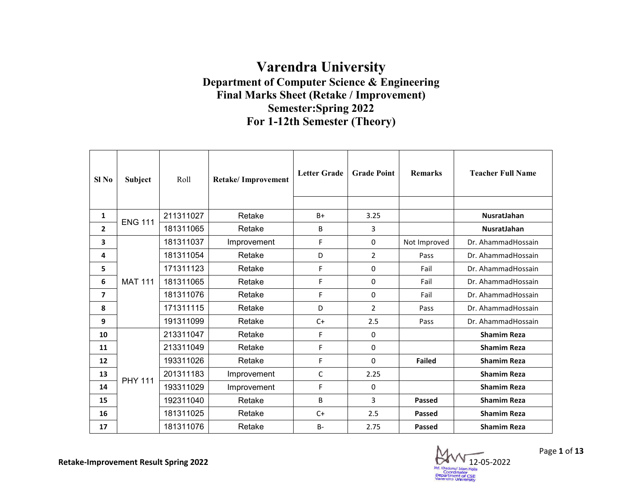## **Department of Computer Science & Engineering Final Marks Sheet (Retake / Improvement) Varendra University Semester:Spring 2022 For 1-12th Semester (Theory)**

| SI No | <b>Subject</b> | Roll      | Retake/ Improvement | <b>Letter Grade</b> | <b>Grade Point</b> | <b>Remarks</b> | <b>Teacher Full Name</b> |
|-------|----------------|-----------|---------------------|---------------------|--------------------|----------------|--------------------------|
| 1     | <b>ENG 111</b> | 211311027 | Retake              | $B+$                | 3.25               |                | <b>NusratJahan</b>       |
| 2     |                | 181311065 | Retake              | B                   | 3                  |                | NusratJahan              |
| 3     |                | 181311037 | Improvement         | F                   | 0                  | Not Improved   | Dr. AhammadHossain       |
| 4     |                | 181311054 | Retake              | D                   | $\overline{2}$     | Pass           | Dr. AhammadHossain       |
| 5     |                | 171311123 | Retake              | F                   | 0                  | Fail           | Dr. AhammadHossain       |
| 6     | <b>MAT 111</b> | 181311065 | Retake              | F                   | $\Omega$           | Fail           | Dr. AhammadHossain       |
| 7     |                | 181311076 | Retake              | F                   | $\Omega$           | Fail           | Dr. AhammadHossain       |
| 8     |                | 171311115 | Retake              | D                   | $\overline{2}$     | Pass           | Dr. AhammadHossain       |
| 9     |                | 191311099 | Retake              | $C+$                | 2.5                | Pass           | Dr. AhammadHossain       |
| 10    |                | 213311047 | Retake              | F                   | 0                  |                | <b>Shamim Reza</b>       |
| 11    |                | 213311049 | Retake              | F                   | 0                  |                | <b>Shamim Reza</b>       |
| 12    |                | 193311026 | Retake              | F                   | $\Omega$           | <b>Failed</b>  | <b>Shamim Reza</b>       |
| 13    | <b>PHY 111</b> | 201311183 | Improvement         | C                   | 2.25               |                | <b>Shamim Reza</b>       |
| 14    |                | 193311029 | Improvement         | F                   | 0                  |                | <b>Shamim Reza</b>       |
| 15    |                | 192311040 | Retake              | B                   | 3                  | <b>Passed</b>  | <b>Shamim Reza</b>       |
| 16    |                | 181311025 | Retake              | $C+$                | 2.5                | Passed         | <b>Shamim Reza</b>       |
| 17    |                | 181311076 | Retake              | <b>B-</b>           | 2.75               | <b>Passed</b>  | <b>Shamim Reza</b>       |

12- -05-2022

Page **1** of **13**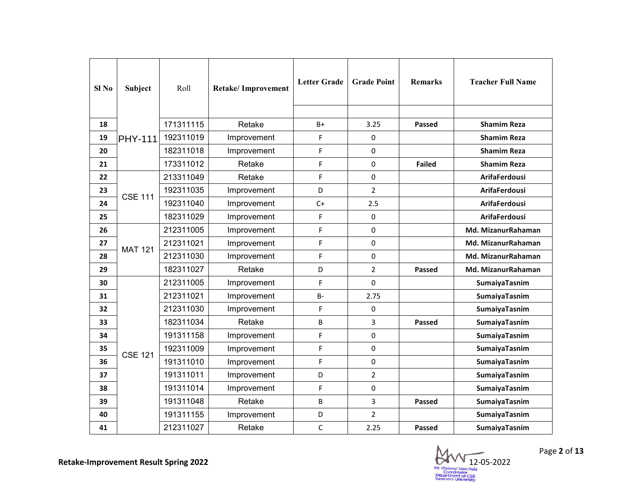| Sl No | Subject        | Roll      | <b>Retake/Improvement</b> | <b>Letter Grade</b> | <b>Grade Point</b> | <b>Remarks</b> | <b>Teacher Full Name</b> |
|-------|----------------|-----------|---------------------------|---------------------|--------------------|----------------|--------------------------|
| 18    |                | 171311115 | Retake                    | B+                  | 3.25               | <b>Passed</b>  | <b>Shamim Reza</b>       |
| 19    | <b>PHY-111</b> | 192311019 | Improvement               | F                   | 0                  |                | <b>Shamim Reza</b>       |
| 20    |                | 182311018 | Improvement               | F                   | $\Omega$           |                | <b>Shamim Reza</b>       |
| 21    |                | 173311012 | Retake                    | F                   | 0                  | <b>Failed</b>  | <b>Shamim Reza</b>       |
| 22    |                | 213311049 | Retake                    | F                   | 0                  |                | <b>ArifaFerdousi</b>     |
| 23    | <b>CSE 111</b> | 192311035 | Improvement               | D                   | $\overline{2}$     |                | <b>ArifaFerdousi</b>     |
| 24    |                | 192311040 | Improvement               | $C+$                | 2.5                |                | <b>ArifaFerdousi</b>     |
| 25    |                | 182311029 | Improvement               | F                   | 0                  |                | <b>ArifaFerdousi</b>     |
| 26    |                | 212311005 | Improvement               | F                   | 0                  |                | Md. MizanurRahaman       |
| 27    |                | 212311021 | Improvement               | F                   | 0                  |                | Md. MizanurRahaman       |
| 28    | <b>MAT 121</b> | 212311030 | Improvement               | F                   | 0                  |                | Md. MizanurRahaman       |
| 29    |                | 182311027 | Retake                    | D                   | $\overline{2}$     | <b>Passed</b>  | Md. MizanurRahaman       |
| 30    |                | 212311005 | Improvement               | F                   | 0                  |                | SumaiyaTasnim            |
| 31    |                | 212311021 | Improvement               | <b>B-</b>           | 2.75               |                | SumaiyaTasnim            |
| 32    |                | 212311030 | Improvement               | F                   | 0                  |                | SumaiyaTasnim            |
| 33    |                | 182311034 | Retake                    | B                   | 3                  | <b>Passed</b>  | SumaiyaTasnim            |
| 34    |                | 191311158 | Improvement               | F                   | 0                  |                | SumaiyaTasnim            |
| 35    | <b>CSE 121</b> | 192311009 | Improvement               | F                   | 0                  |                | SumaiyaTasnim            |
| 36    |                | 191311010 | Improvement               | F                   | 0                  |                | SumaiyaTasnim            |
| 37    |                | 191311011 | Improvement               | D                   | $\overline{2}$     |                | SumaiyaTasnim            |
| 38    |                | 191311014 | Improvement               | F                   | 0                  |                | SumaiyaTasnim            |
| 39    |                | 191311048 | Retake                    | B                   | 3                  | <b>Passed</b>  | SumaiyaTasnim            |
| 40    |                | 191311155 | Improvement               | D                   | $\overline{2}$     |                | SumaiyaTasnim            |
| 41    |                | 212311027 | Retake                    | C                   | 2.25               | <b>Passed</b>  | SumaiyaTasnim            |

12- -05-2022 Md. Khap Coordinator<br>Department of CSE<br>Varendra University

Page **2** of **13**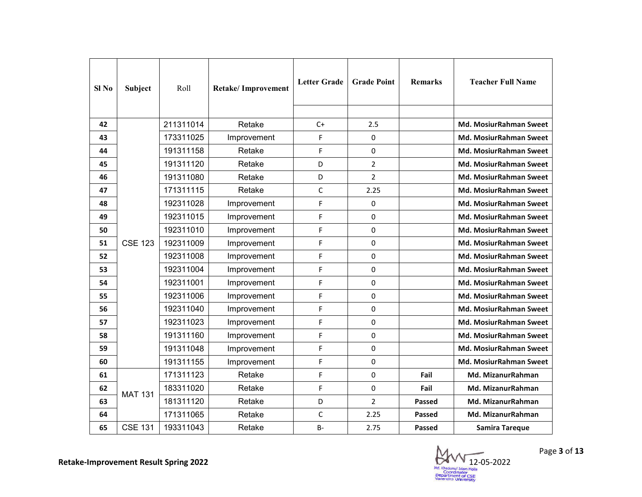| Sl No | Subject        | Roll      | <b>Retake/Improvement</b> | <b>Letter Grade</b> | <b>Grade Point</b> | <b>Remarks</b> | <b>Teacher Full Name</b>      |
|-------|----------------|-----------|---------------------------|---------------------|--------------------|----------------|-------------------------------|
| 42    |                | 211311014 | Retake                    | $C+$                | 2.5                |                | <b>Md. MosiurRahman Sweet</b> |
| 43    |                | 173311025 | Improvement               | F                   | 0                  |                | Md. MosiurRahman Sweet        |
| 44    |                | 191311158 | Retake                    | F                   | 0                  |                | Md. MosiurRahman Sweet        |
| 45    |                | 191311120 | Retake                    | D                   | $\overline{2}$     |                | <b>Md. MosiurRahman Sweet</b> |
| 46    |                | 191311080 | Retake                    | D                   | $\overline{2}$     |                | <b>Md. MosiurRahman Sweet</b> |
| 47    |                | 171311115 | Retake                    | C                   | 2.25               |                | <b>Md. MosiurRahman Sweet</b> |
| 48    |                | 192311028 | Improvement               | F                   | $\mathbf 0$        |                | Md. MosiurRahman Sweet        |
| 49    |                | 192311015 | Improvement               | F                   | 0                  |                | Md. MosiurRahman Sweet        |
| 50    |                | 192311010 | Improvement               | F                   | $\pmb{0}$          |                | Md. MosiurRahman Sweet        |
| 51    | <b>CSE 123</b> | 192311009 | Improvement               | F                   | 0                  |                | <b>Md. MosiurRahman Sweet</b> |
| 52    |                | 192311008 | Improvement               | F                   | $\mathbf 0$        |                | Md. MosiurRahman Sweet        |
| 53    |                | 192311004 | Improvement               | F                   | 0                  |                | <b>Md. MosiurRahman Sweet</b> |
| 54    |                | 192311001 | Improvement               | F                   | 0                  |                | Md. MosiurRahman Sweet        |
| 55    |                | 192311006 | Improvement               | F                   | 0                  |                | Md. MosiurRahman Sweet        |
| 56    |                | 192311040 | Improvement               | F                   | 0                  |                | Md. MosiurRahman Sweet        |
| 57    |                | 192311023 | Improvement               | F                   | $\mathbf 0$        |                | <b>Md. MosiurRahman Sweet</b> |
| 58    |                | 191311160 | Improvement               | F                   | 0                  |                | Md. MosiurRahman Sweet        |
| 59    |                | 191311048 | Improvement               | F                   | $\mathbf 0$        |                | Md. MosiurRahman Sweet        |
| 60    |                | 191311155 | Improvement               | F                   | $\mathbf 0$        |                | Md. MosiurRahman Sweet        |
| 61    |                | 171311123 | Retake                    | F                   | 0                  | Fail           | Md. MizanurRahman             |
| 62    | <b>MAT 131</b> | 183311020 | Retake                    | F                   | 0                  | Fail           | Md. MizanurRahman             |
| 63    |                | 181311120 | Retake                    | D                   | $\overline{2}$     | <b>Passed</b>  | Md. MizanurRahman             |
| 64    |                | 171311065 | Retake                    | С                   | 2.25               | Passed         | Md. MizanurRahman             |
| 65    | <b>CSE 131</b> | 193311043 | Retake                    | $B -$               | 2.75               | Passed         | Samira Taregue                |

12- -05-2022 Md. Khap Coordinator<br>Department of CSE<br>Varendra University

Page **3** of **13**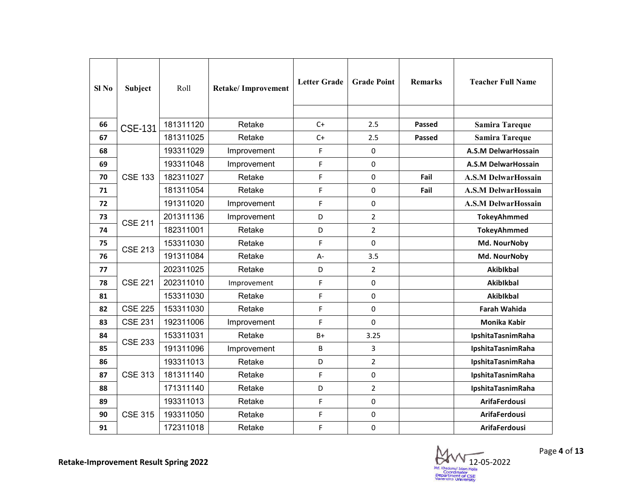| $SI$ No | Subject        | Roll      | Retake/Improvement | <b>Letter Grade</b> | <b>Grade Point</b> | <b>Remarks</b> | <b>Teacher Full Name</b>   |
|---------|----------------|-----------|--------------------|---------------------|--------------------|----------------|----------------------------|
| 66      | <b>CSE-131</b> | 181311120 | Retake             | $C+$                | 2.5                | Passed         | <b>Samira Tareque</b>      |
| 67      |                | 181311025 | Retake             | $C+$                | 2.5                | <b>Passed</b>  | <b>Samira Tareque</b>      |
| 68      |                | 193311029 | Improvement        | F                   | 0                  |                | <b>A.S.M DelwarHossain</b> |
| 69      |                | 193311048 | Improvement        | F                   | 0                  |                | A.S.M DelwarHossain        |
| 70      | <b>CSE 133</b> | 182311027 | Retake             | F                   | 0                  | Fail           | <b>A.S.M DelwarHossain</b> |
| 71      |                | 181311054 | Retake             | F                   | 0                  | Fail           | <b>A.S.M DelwarHossain</b> |
| 72      |                | 191311020 | Improvement        | F                   | 0                  |                | <b>A.S.M DelwarHossain</b> |
| 73      | <b>CSE 211</b> | 201311136 | Improvement        | D                   | $\overline{2}$     |                | <b>TokeyAhmmed</b>         |
| 74      |                | 182311001 | Retake             | D                   | $\overline{2}$     |                | <b>TokeyAhmmed</b>         |
| 75      | <b>CSE 213</b> | 153311030 | Retake             | F                   | 0                  |                | Md. NourNoby               |
| 76      |                | 191311084 | Retake             | A-                  | 3.5                |                | Md. NourNoby               |
| 77      |                | 202311025 | Retake             | D                   | $\overline{2}$     |                | <b>Akiblkbal</b>           |
| 78      | <b>CSE 221</b> | 202311010 | Improvement        | F                   | 0                  |                | Akiblkbal                  |
| 81      |                | 153311030 | Retake             | F                   | 0                  |                | <b>Akibikbal</b>           |
| 82      | <b>CSE 225</b> | 153311030 | Retake             | F                   | 0                  |                | <b>Farah Wahida</b>        |
| 83      | <b>CSE 231</b> | 192311006 | Improvement        | F                   | 0                  |                | <b>Monika Kabir</b>        |
| 84      | <b>CSE 233</b> | 153311031 | Retake             | B+                  | 3.25               |                | IpshitaTasnimRaha          |
| 85      |                | 191311096 | Improvement        | B                   | 3                  |                | IpshitaTasnimRaha          |
| 86      |                | 193311013 | Retake             | D                   | $\overline{2}$     |                | IpshitaTasnimRaha          |
| 87      | <b>CSE 313</b> | 181311140 | Retake             | F                   | 0                  |                | IpshitaTasnimRaha          |
| 88      |                | 171311140 | Retake             | D                   | $\overline{2}$     |                | IpshitaTasnimRaha          |
| 89      |                | 193311013 | Retake             | F                   | 0                  |                | <b>ArifaFerdousi</b>       |
| 90      | <b>CSE 315</b> | 193311050 | Retake             | F                   | 0                  |                | <b>ArifaFerdousi</b>       |
| 91      |                | 172311018 | Retake             | F                   | 0                  |                | <b>ArifaFerdousi</b>       |

12- -05-2022 Md. Khap Coordinator<br>Department of CSE<br>Varendra University

Page **4** of **13**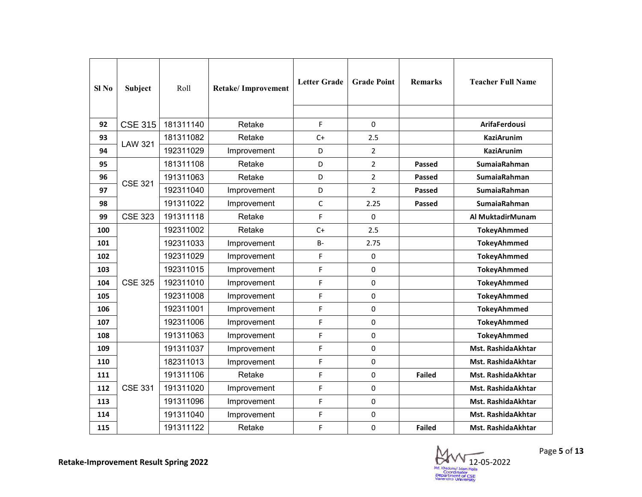| Sl No | Subject        | Roll      | Retake/Improvement | <b>Letter Grade</b> | <b>Grade Point</b> | <b>Remarks</b> | <b>Teacher Full Name</b> |
|-------|----------------|-----------|--------------------|---------------------|--------------------|----------------|--------------------------|
| 92    | <b>CSE 315</b> | 181311140 | Retake             | F                   | $\Omega$           |                | <b>ArifaFerdousi</b>     |
| 93    | <b>LAW 321</b> | 181311082 | Retake             | $C+$                | 2.5                |                | <b>KaziArunim</b>        |
| 94    |                | 192311029 | Improvement        | D                   | $\overline{2}$     |                | <b>KaziArunim</b>        |
| 95    |                | 181311108 | Retake             | D                   | $\overline{2}$     | <b>Passed</b>  | <b>SumaiaRahman</b>      |
| 96    | <b>CSE 321</b> | 191311063 | Retake             | D                   | $\overline{2}$     | <b>Passed</b>  | <b>SumaiaRahman</b>      |
| 97    |                | 192311040 | Improvement        | D                   | $\overline{2}$     | <b>Passed</b>  | <b>SumaiaRahman</b>      |
| 98    |                | 191311022 | Improvement        | $\mathsf C$         | 2.25               | <b>Passed</b>  | SumaiaRahman             |
| 99    | <b>CSE 323</b> | 191311118 | Retake             | F                   | 0                  |                | Al MuktadirMunam         |
| 100   |                | 192311002 | Retake             | $C+$                | 2.5                |                | <b>TokeyAhmmed</b>       |
| 101   |                | 192311033 | Improvement        | $B -$               | 2.75               |                | <b>TokeyAhmmed</b>       |
| 102   |                | 192311029 | Improvement        | F                   | 0                  |                | <b>TokeyAhmmed</b>       |
| 103   |                | 192311015 | Improvement        | F                   | 0                  |                | <b>TokeyAhmmed</b>       |
| 104   | <b>CSE 325</b> | 192311010 | Improvement        | F                   | $\pmb{0}$          |                | <b>TokeyAhmmed</b>       |
| 105   |                | 192311008 | Improvement        | F                   | 0                  |                | <b>TokeyAhmmed</b>       |
| 106   |                | 192311001 | Improvement        | F                   | 0                  |                | <b>TokeyAhmmed</b>       |
| 107   |                | 192311006 | Improvement        | F                   | 0                  |                | <b>TokeyAhmmed</b>       |
| 108   |                | 191311063 | Improvement        | F                   | 0                  |                | <b>TokeyAhmmed</b>       |
| 109   |                | 191311037 | Improvement        | F                   | 0                  |                | Mst. RashidaAkhtar       |
| 110   |                | 182311013 | Improvement        | F                   | 0                  |                | Mst. RashidaAkhtar       |
| 111   |                | 191311106 | Retake             | F                   | 0                  | <b>Failed</b>  | Mst. RashidaAkhtar       |
| 112   | <b>CSE 331</b> | 191311020 | Improvement        | F                   | 0                  |                | Mst. RashidaAkhtar       |
| 113   |                | 191311096 | Improvement        | F                   | 0                  |                | Mst. RashidaAkhtar       |
| 114   |                | 191311040 | Improvement        | F                   | 0                  |                | Mst. RashidaAkhtar       |
| 115   |                | 191311122 | Retake             | F                   | 0                  | <b>Failed</b>  | Mst. Rashida Akhtar      |

12- -05-2022 Md. Khap Coordinator<br>Department of CSE<br>Varendra University

Page **5** of **13**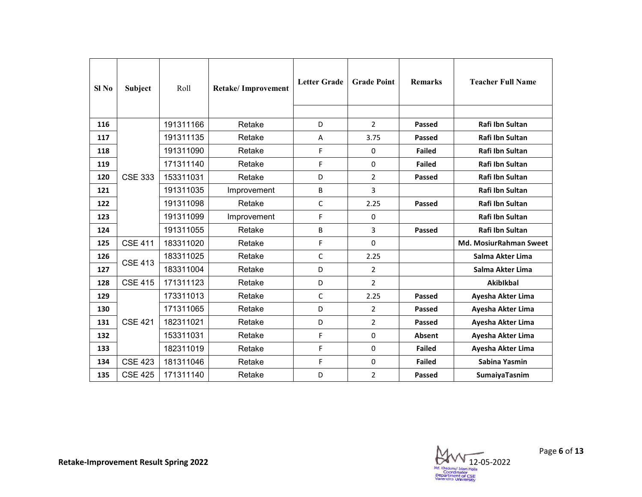| Sl No | Subject        | Roll      | <b>Retake/Improvement</b> | <b>Letter Grade</b> | <b>Grade Point</b> | <b>Remarks</b> | <b>Teacher Full Name</b> |
|-------|----------------|-----------|---------------------------|---------------------|--------------------|----------------|--------------------------|
| 116   |                | 191311166 | Retake                    | D                   | $\overline{2}$     | <b>Passed</b>  | Rafi Ibn Sultan          |
| 117   |                | 191311135 | Retake                    | A                   | 3.75               | <b>Passed</b>  | Rafi Ibn Sultan          |
| 118   |                | 191311090 | Retake                    | F                   | 0                  | <b>Failed</b>  | Rafi Ibn Sultan          |
| 119   |                | 171311140 | Retake                    | F                   | $\Omega$           | <b>Failed</b>  | Rafi Ibn Sultan          |
| 120   | <b>CSE 333</b> | 153311031 | Retake                    | D                   | $\overline{2}$     | <b>Passed</b>  | Rafi Ibn Sultan          |
| 121   |                | 191311035 | Improvement               | B                   | 3                  |                | Rafi Ibn Sultan          |
| 122   |                | 191311098 | Retake                    | C                   | 2.25               | <b>Passed</b>  | Rafi Ibn Sultan          |
| 123   |                | 191311099 | Improvement               | F                   | $\Omega$           |                | Rafi Ibn Sultan          |
| 124   |                | 191311055 | Retake                    | B                   | 3                  | <b>Passed</b>  | Rafi Ibn Sultan          |
| 125   | <b>CSE 411</b> | 183311020 | Retake                    | F                   | $\Omega$           |                | Md. MosiurRahman Sweet   |
| 126   | <b>CSE 413</b> | 183311025 | Retake                    | C                   | 2.25               |                | Salma Akter Lima         |
| 127   |                | 183311004 | Retake                    | D                   | $\overline{2}$     |                | Salma Akter Lima         |
| 128   | <b>CSE 415</b> | 171311123 | Retake                    | D                   | $\overline{2}$     |                | <b>Akiblkbal</b>         |
| 129   |                | 173311013 | Retake                    | C                   | 2.25               | <b>Passed</b>  | Ayesha Akter Lima        |
| 130   |                | 171311065 | Retake                    | D                   | $\overline{2}$     | Passed         | Ayesha Akter Lima        |
| 131   | <b>CSE 421</b> | 182311021 | Retake                    | D                   | $\overline{a}$     | <b>Passed</b>  | Ayesha Akter Lima        |
| 132   |                | 153311031 | Retake                    | F                   | 0                  | Absent         | Ayesha Akter Lima        |
| 133   |                | 182311019 | Retake                    | F                   | 0                  | <b>Failed</b>  | Ayesha Akter Lima        |
| 134   | <b>CSE 423</b> | 181311046 | Retake                    | F                   | 0                  | <b>Failed</b>  | Sabina Yasmin            |
| 135   | <b>CSE 425</b> | 171311140 | Retake                    | D                   | $\overline{2}$     | <b>Passed</b>  | SumaiyaTasnim            |

Page **6** of **13**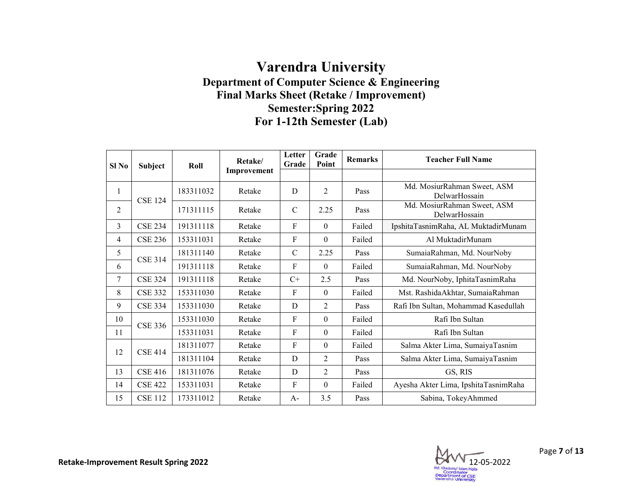## **Department of Computer Science & Engineering Final Marks Sheet (Retake / Improvement) Varendra University Semester:Spring 2022 For 1-12th Semester (Lab)**

| Sl No          | Subject        | Roll      | Retake/     | Letter<br>Grade | Grade<br>Point   | <b>Remarks</b> | <b>Teacher Full Name</b>                     |
|----------------|----------------|-----------|-------------|-----------------|------------------|----------------|----------------------------------------------|
|                |                |           | Improvement |                 |                  |                |                                              |
| 1              | <b>CSE 124</b> | 183311032 | Retake      | D               | $\overline{2}$   | Pass           | Md. MosiurRahman Sweet, ASM<br>DelwarHossain |
| $\overline{2}$ |                | 171311115 | Retake      | $\mathcal{C}$   | 2.25             | Pass           | Md. MosiurRahman Sweet, ASM<br>DelwarHossain |
| 3              | <b>CSE 234</b> | 191311118 | Retake      | $\mathbf{F}$    | $\Omega$         | Failed         | IpshitaTasnimRaha, AL MuktadirMunam          |
| 4              | <b>CSE 236</b> | 153311031 | Retake      | F               | $\boldsymbol{0}$ | Failed         | Al MuktadirMunam                             |
| 5              | <b>CSE 314</b> | 181311140 | Retake      | $\mathcal{C}$   | 2.25             | Pass           | SumaiaRahman, Md. NourNoby                   |
| 6              |                | 191311118 | Retake      | F               | $\theta$         | Failed         | SumaiaRahman, Md. NourNoby                   |
| 7              | <b>CSE 324</b> | 191311118 | Retake      | $C+$            | 2.5              | Pass           | Md. NourNoby, IphitaTasnimRaha               |
| 8              | <b>CSE 332</b> | 153311030 | Retake      | $\mathbf{F}$    | $\boldsymbol{0}$ | Failed         | Mst. RashidaAkhtar, SumaiaRahman             |
| 9              | <b>CSE 334</b> | 153311030 | Retake      | D               | 2                | Pass           | Rafi Ibn Sultan, Mohammad Kasedullah         |
| 10             | <b>CSE 336</b> | 153311030 | Retake      | F               | $\boldsymbol{0}$ | Failed         | Rafi Ibn Sultan                              |
| 11             |                | 153311031 | Retake      | F               | $\boldsymbol{0}$ | Failed         | Rafi Ibn Sultan                              |
| 12             | <b>CSE 414</b> | 181311077 | Retake      | F               | $\boldsymbol{0}$ | Failed         | Salma Akter Lima, SumaiyaTasnim              |
|                |                | 181311104 | Retake      | D               | 2                | Pass           | Salma Akter Lima, SumaiyaTasnim              |
| 13             | <b>CSE 416</b> | 181311076 | Retake      | D               | 2                | Pass           | GS, RIS                                      |
| 14             | <b>CSE 422</b> | 153311031 | Retake      | F               | $\Omega$         | Failed         | Ayesha Akter Lima, IpshitaTasnimRaha         |
| 15             | <b>CSE 112</b> | 173311012 | Retake      | $A -$           | 3.5              | Pass           | Sabina, TokeyAhmmed                          |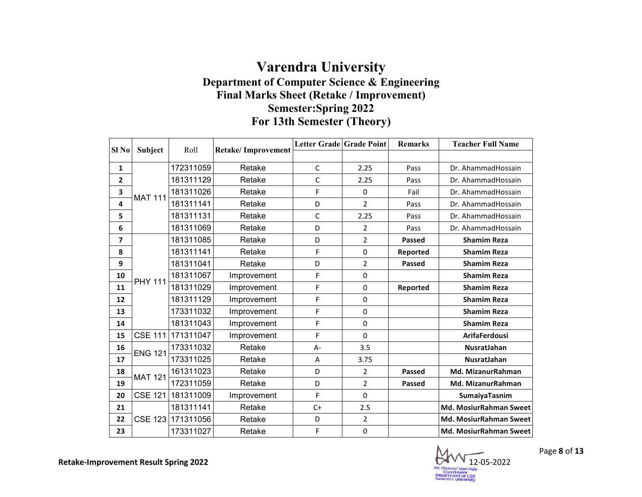## **Department of Computer Science & Engineering Final Marks Sheet (Retake / Improvement) Varendra University Semester:Spring 2022 For 13th Semester (Theory)**

| Sl <sub>No</sub>        |                | Roll      |                           | Letter Grade Grade Point |                | <b>Remarks</b> | <b>Teacher Full Name</b>      |
|-------------------------|----------------|-----------|---------------------------|--------------------------|----------------|----------------|-------------------------------|
|                         | Subject        |           | <b>Retake/Improvement</b> |                          |                |                |                               |
| 1                       |                | 172311059 | Retake                    | $\mathsf{C}$             | 2.25           | Pass           | Dr. AhammadHossain            |
| $\overline{\mathbf{2}}$ |                | 181311129 | Retake                    | $\mathsf{C}$             | 2.25           | Pass           | Dr. AhammadHossain            |
| 3                       | <b>MAT 111</b> | 181311026 | Retake                    | F                        | 0              | Fail           | Dr. AhammadHossain            |
| 4                       |                | 181311141 | Retake                    | D                        | $\overline{2}$ | Pass           | Dr. AhammadHossain            |
| 5                       |                | 181311131 | Retake                    | C                        | 2.25           | Pass           | Dr. AhammadHossain            |
| 6                       |                | 181311069 | Retake                    | D                        | $\overline{2}$ | Pass           | Dr. AhammadHossain            |
| 7                       |                | 181311085 | Retake                    | D                        | $\overline{2}$ | Passed         | <b>Shamim Reza</b>            |
| 8                       |                | 181311141 | Retake                    | F                        | 0              | Reported       | <b>Shamim Reza</b>            |
| 9                       |                | 181311041 | Retake                    | D                        | 2              | Passed         | <b>Shamim Reza</b>            |
| 10                      | <b>PHY 111</b> | 181311067 | Improvement               | F                        | 0              |                | <b>Shamim Reza</b>            |
| 11                      |                | 181311029 | Improvement               | F                        | $\Omega$       | Reported       | <b>Shamim Reza</b>            |
| 12                      |                | 181311129 | Improvement               | F                        | 0              |                | <b>Shamim Reza</b>            |
| 13                      |                | 173311032 | Improvement               | F                        | $\Omega$       |                | <b>Shamim Reza</b>            |
| 14                      |                | 181311043 | Improvement               | F                        | $\Omega$       |                | <b>Shamim Reza</b>            |
| 15                      | <b>CSE 111</b> | 171311047 | Improvement               | F                        | $\Omega$       |                | <b>ArifaFerdousi</b>          |
| 16                      | <b>ENG 121</b> | 173311032 | Retake                    | A-                       | 3.5            |                | NusratJahan                   |
| 17                      |                | 173311025 | Retake                    | A                        | 3.75           |                | NusratJahan                   |
| 18                      | <b>MAT 121</b> | 161311023 | Retake                    | D                        | 2              | Passed         | Md. MizanurRahman             |
| 19                      |                | 172311059 | Retake                    | D                        | $\overline{2}$ | Passed         | <b>Md. MizanurRahman</b>      |
| 20                      | <b>CSE 121</b> | 181311009 | Improvement               | F                        | $\Omega$       |                | SumaiyaTasnim                 |
| 21                      |                | 181311141 | Retake                    | $C+$                     | 2.5            |                | Md. MosiurRahman Sweet        |
| 22                      | <b>CSE 123</b> | 171311056 | Retake                    | D                        | $\overline{2}$ |                | <b>Md. MosiurRahman Sweet</b> |
| 23                      |                | 173311027 | Retake                    | F                        | $\pmb{0}$      |                | <b>Md. MosiurRahman Sweet</b> |

12- -05-2022

Page **8** of **13**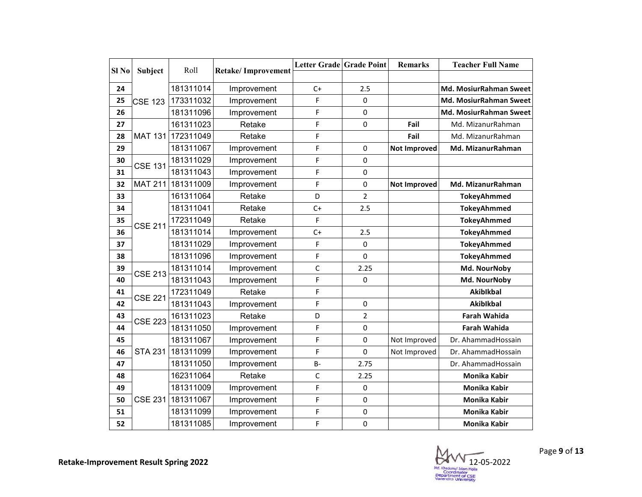| Sl <sub>No</sub> | Subject        | Roll      | <b>Retake/Improvement</b> | <b>Letter Grade Grade Point</b> |                | <b>Remarks</b>      | <b>Teacher Full Name</b> |
|------------------|----------------|-----------|---------------------------|---------------------------------|----------------|---------------------|--------------------------|
|                  |                |           |                           |                                 |                |                     |                          |
| 24               |                | 181311014 | Improvement               | $C+$                            | 2.5            |                     | Md. MosiurRahman Sweet   |
| 25               | CSE 123        | 173311032 | Improvement               | F                               | 0              |                     | Md. MosiurRahman Sweet   |
| 26               |                | 181311096 | Improvement               | F                               | $\mathbf 0$    |                     | Md. MosiurRahman Sweet   |
| 27               |                | 161311023 | Retake                    | F                               | 0              | Fail                | Md. MizanurRahman        |
| 28               | <b>MAT 131</b> | 172311049 | Retake                    | F                               |                | Fail                | Md. MizanurRahman        |
| 29               |                | 181311067 | Improvement               | F                               | $\pmb{0}$      | <b>Not Improved</b> | Md. MizanurRahman        |
| 30               | <b>CSE 131</b> | 181311029 | Improvement               | F                               | $\Omega$       |                     |                          |
| 31               |                | 181311043 | Improvement               | F                               | 0              |                     |                          |
| 32               | <b>MAT 211</b> | 181311009 | Improvement               | F                               | 0              | <b>Not Improved</b> | Md. MizanurRahman        |
| 33               |                | 161311064 | Retake                    | D                               | $\overline{2}$ |                     | <b>TokeyAhmmed</b>       |
| 34               |                | 181311041 | Retake                    | $C+$                            | 2.5            |                     | <b>TokeyAhmmed</b>       |
| 35               | <b>CSE 211</b> | 172311049 | Retake                    | F                               |                |                     | <b>TokeyAhmmed</b>       |
| 36               |                | 181311014 | Improvement               | $C+$                            | 2.5            |                     | <b>TokeyAhmmed</b>       |
| 37               |                | 181311029 | Improvement               | F                               | $\pmb{0}$      |                     | <b>TokeyAhmmed</b>       |
| 38               |                | 181311096 | Improvement               | F                               | 0              |                     | <b>TokeyAhmmed</b>       |
| 39               | <b>CSE 213</b> | 181311014 | Improvement               | $\mathsf C$                     | 2.25           |                     | Md. NourNoby             |
| 40               |                | 181311043 | Improvement               | F                               | $\Omega$       |                     | Md. NourNoby             |
| 41               | <b>CSE 221</b> | 172311049 | Retake                    | F                               |                |                     | <b>Akibikbal</b>         |
| 42               |                | 181311043 | Improvement               | F                               | $\mathbf 0$    |                     | <b>Akibikbal</b>         |
| 43               | <b>CSE 223</b> | 161311023 | Retake                    | D                               | $\overline{2}$ |                     | <b>Farah Wahida</b>      |
| 44               |                | 181311050 | Improvement               | F                               | 0              |                     | <b>Farah Wahida</b>      |
| 45               |                | 181311067 | Improvement               | F                               | $\mathbf 0$    | Not Improved        | Dr. AhammadHossain       |
| 46               | <b>STA 231</b> | 181311099 | Improvement               | F                               | 0              | Not Improved        | Dr. AhammadHossain       |
| 47               |                | 181311050 | Improvement               | $B -$                           | 2.75           |                     | Dr. AhammadHossain       |
| 48               |                | 162311064 | Retake                    | C                               | 2.25           |                     | Monika Kabir             |
| 49               |                | 181311009 | Improvement               | F                               | $\pmb{0}$      |                     | Monika Kabir             |
| 50               | <b>CSE 231</b> | 181311067 | Improvement               | F                               | $\Omega$       |                     | <b>Monika Kabir</b>      |
| 51               |                | 181311099 | Improvement               | F                               | 0              |                     | <b>Monika Kabir</b>      |
| 52               |                | 181311085 | Improvement               | F                               | 0              |                     | <b>Monika Kabir</b>      |

 $\bowtie$ 12- -05-2022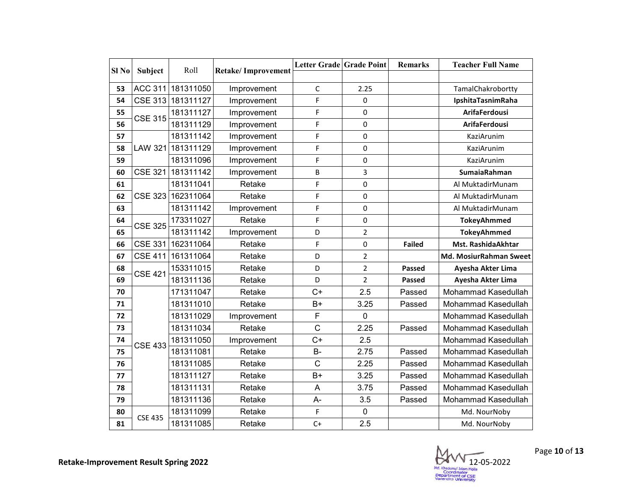| Sl <sub>No</sub> |                | Roll      |                           | Letter Grade Grade Point |                | <b>Remarks</b> | <b>Teacher Full Name</b> |
|------------------|----------------|-----------|---------------------------|--------------------------|----------------|----------------|--------------------------|
|                  | Subject        |           | <b>Retake/Improvement</b> |                          |                |                |                          |
| 53               | <b>ACC 311</b> | 181311050 | Improvement               | $\mathsf C$              | 2.25           |                | TamalChakrobortty        |
| 54               | <b>CSE 313</b> | 181311127 | Improvement               | F                        | 0              |                | IpshitaTasnimRaha        |
| 55               | <b>CSE 315</b> | 181311127 | Improvement               | F                        | 0              |                | <b>ArifaFerdousi</b>     |
| 56               |                | 181311129 | Improvement               | F                        | $\mathbf 0$    |                | <b>ArifaFerdousi</b>     |
| 57               |                | 181311142 | Improvement               | F                        | 0              |                | KaziArunim               |
| 58               | <b>LAW 321</b> | 181311129 | Improvement               | F                        | 0              |                | KaziArunim               |
| 59               |                | 181311096 | Improvement               | F                        | 0              |                | KaziArunim               |
| 60               | <b>CSE 321</b> | 181311142 | Improvement               | B                        | 3              |                | SumaiaRahman             |
| 61               |                | 181311041 | Retake                    | F                        | $\pmb{0}$      |                | Al MuktadirMunam         |
| 62               | <b>CSE 323</b> | 162311064 | Retake                    | F                        | 0              |                | Al MuktadirMunam         |
| 63               |                | 181311142 | Improvement               | F                        | 0              |                | Al MuktadirMunam         |
| 64               | <b>CSE 325</b> | 173311027 | Retake                    | F                        | 0              |                | <b>TokeyAhmmed</b>       |
| 65               |                | 181311142 | Improvement               | D                        | $\overline{2}$ |                | <b>TokeyAhmmed</b>       |
| 66               | <b>CSE 331</b> | 162311064 | Retake                    | F                        | $\mathbf 0$    | <b>Failed</b>  | Mst. RashidaAkhtar       |
| 67               | <b>CSE 411</b> | 161311064 | Retake                    | D                        | $\overline{2}$ |                | Md. MosiurRahman Sweet   |
| 68               | <b>CSE 421</b> | 153311015 | Retake                    | D                        | $\overline{2}$ | <b>Passed</b>  | Ayesha Akter Lima        |
| 69               |                | 181311136 | Retake                    | D                        | $\overline{2}$ | Passed         | Ayesha Akter Lima        |
| 70               |                | 171311047 | Retake                    | $C+$                     | 2.5            | Passed         | Mohammad Kasedullah      |
| 71               |                | 181311010 | Retake                    | $B+$                     | 3.25           | Passed         | Mohammad Kasedullah      |
| 72               |                | 181311029 | Improvement               | F                        | 0              |                | Mohammad Kasedullah      |
| 73               |                | 181311034 | Retake                    | $\mathsf C$              | 2.25           | Passed         | Mohammad Kasedullah      |
| 74               | <b>CSE 433</b> | 181311050 | Improvement               | $C+$                     | 2.5            |                | Mohammad Kasedullah      |
| 75               |                | 181311081 | Retake                    | <b>B-</b>                | 2.75           | Passed         | Mohammad Kasedullah      |
| 76               |                | 181311085 | Retake                    | C                        | 2.25           | Passed         | Mohammad Kasedullah      |
| 77               |                | 181311127 | Retake                    | $B+$                     | 3.25           | Passed         | Mohammad Kasedullah      |
| 78               |                | 181311131 | Retake                    | $\overline{A}$           | 3.75           | Passed         | Mohammad Kasedullah      |
| 79               |                | 181311136 | Retake                    | $A-$                     | 3.5            | Passed         | Mohammad Kasedullah      |
| 80               | <b>CSE 435</b> | 181311099 | Retake                    | F                        | $\mathbf 0$    |                | Md. NourNoby             |
| 81               |                | 181311085 | Retake                    | $C+$                     | 2.5            |                | Md. NourNoby             |

 $\boxtimes$ 12- -05-2022

Page **10** of **13**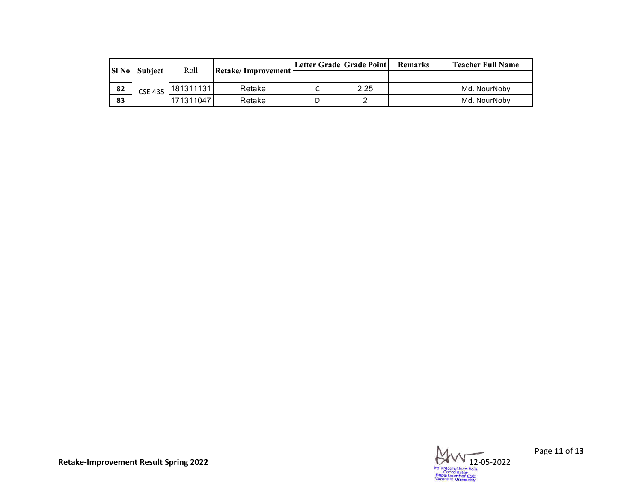| <b>SI</b> No | <b>Subject</b> | Roll      | Retake/Improvement | Letter Grade   Grade Point |      | <b>Remarks</b> | <b>Teacher Full Name</b> |
|--------------|----------------|-----------|--------------------|----------------------------|------|----------------|--------------------------|
|              |                |           |                    |                            |      |                |                          |
| 82           | <b>CSE 435</b> | 181311131 | Retake             |                            | 2.25 |                | Md. NourNoby             |
| 83           |                | 171311047 | Retake             |                            |      |                | Md. NourNoby             |



Page **11** of **13**

**Retake-Improvement Result Spring 2022**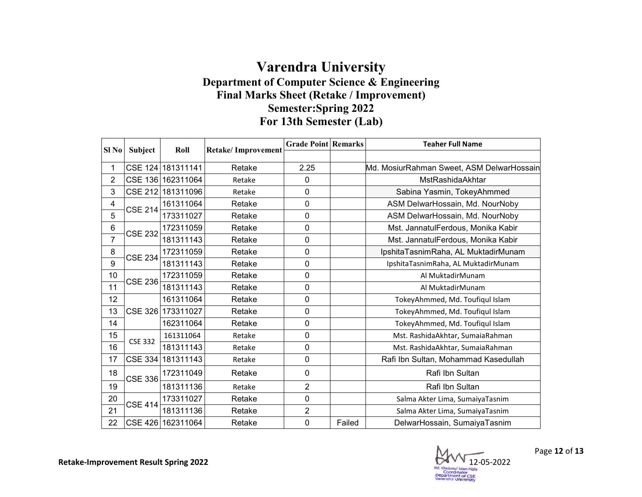## **Department of Computer Science & Engineering Final Marks Sheet (Retake / Improvement) Varendra University Semester:Spring 2022 For 13th Semester (Lab)**

|                |                |                   |                           | <b>Grade Point Remarks</b> |        | <b>Teaher Full Name</b>                   |
|----------------|----------------|-------------------|---------------------------|----------------------------|--------|-------------------------------------------|
| $SI$ No        | Subject        | Roll              | <b>Retake/Improvement</b> |                            |        |                                           |
| 1              |                | CSE 124 181311141 | Retake                    | 2.25                       |        | Md. MosiurRahman Sweet, ASM DelwarHossain |
| $\overline{2}$ |                | CSE 136 162311064 | Retake                    | $\mathbf 0$                |        | MstRashidaAkhtar                          |
| 3              |                | CSE 212 181311096 | Retake                    | $\mathbf 0$                |        | Sabina Yasmin, TokeyAhmmed                |
| 4              | <b>CSE 214</b> | 161311064         | Retake                    | 0                          |        | ASM DelwarHossain, Md. NourNoby           |
| 5              |                | 173311027         | Retake                    | $\mathbf 0$                |        | ASM DelwarHossain, Md. NourNoby           |
| 6              | <b>CSE 232</b> | 172311059         | Retake                    | $\mathbf 0$                |        | Mst. JannatulFerdous, Monika Kabir        |
| $\overline{7}$ |                | 181311143         | Retake                    | $\mathbf 0$                |        | Mst. JannatulFerdous, Monika Kabir        |
| 8              | <b>CSE 234</b> | 172311059         | Retake                    | 0                          |        | IpshitaTasnimRaha, AL MuktadirMunam       |
| 9              |                | 181311143         | Retake                    | $\mathbf 0$                |        | IpshitaTasnimRaha, AL MuktadirMunam       |
| 10             | <b>CSE 236</b> | 172311059         | Retake                    | 0                          |        | Al MuktadirMunam                          |
| 11             |                | 181311143         | Retake                    | $\pmb{0}$                  |        | Al MuktadirMunam                          |
| 12             |                | 161311064         | Retake                    | $\mathbf 0$                |        | TokeyAhmmed, Md. Toufiqul Islam           |
| 13             | CSE 326        | 173311027         | Retake                    | $\mathbf 0$                |        | TokeyAhmmed, Md. Toufiqul Islam           |
| 14             |                | 162311064         | Retake                    | $\mathbf 0$                |        | TokeyAhmmed, Md. Toufiqul Islam           |
| 15             |                | 161311064         | Retake                    | $\mathbf 0$                |        | Mst. RashidaAkhtar, SumaiaRahman          |
| 16             | <b>CSE 332</b> | 181311143         | Retake                    | $\mathbf 0$                |        | Mst. RashidaAkhtar, SumaiaRahman          |
| 17             | $CSE$ 334      | 181311143         | Retake                    | $\mathbf 0$                |        | Rafi Ibn Sultan, Mohammad Kasedullah      |
| 18             | <b>CSE 336</b> | 172311049         | Retake                    | $\mathbf 0$                |        | Rafi Ibn Sultan                           |
| 19             |                | 181311136         | Retake                    | $\overline{2}$             |        | Rafi Ibn Sultan                           |
| 20             |                | 173311027         | Retake                    | $\mathbf 0$                |        | Salma Akter Lima, SumaiyaTasnim           |
| 21             | <b>CSE 414</b> | 181311136         | Retake                    | $\overline{2}$             |        | Salma Akter Lima, SumaiyaTasnim           |
| 22             |                | CSE 426 162311064 | Retake                    | 0                          | Failed | DelwarHossain, SumaiyaTasnim              |

**Retake-Improvement Result Spring 2022**

12- -05-2022

Page **12** of **13**